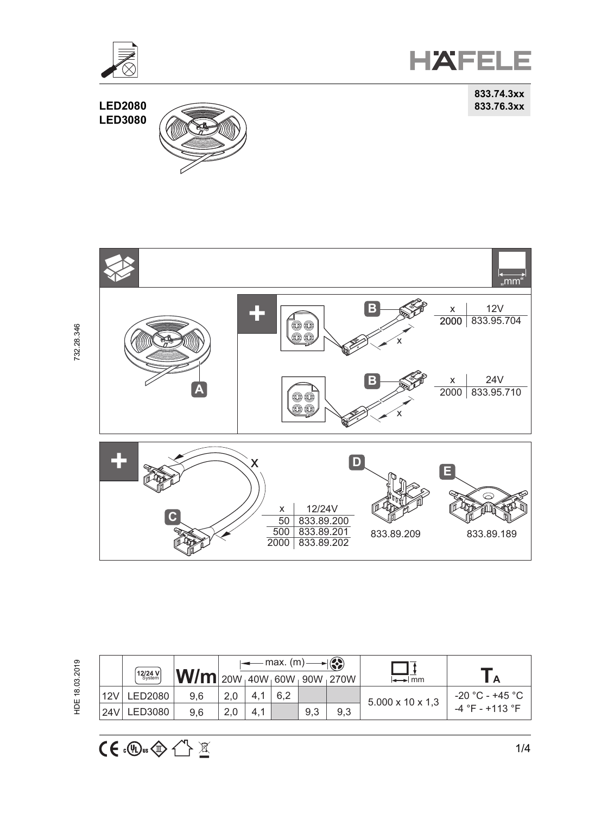

**HAFELE** 

**833.74.3xx**





HDE 18.03.2019 732.28.346 HDE 18.03.2019

 $CE \oplus \oplus \oplus \cong$ 

|      | $\left[12/24 \text{ V}\right]$ | $ \mathbf{W/m} $ 20W 40W 60W 90W 270W |     |     | $\longleftarrow$ max. (m) $\longrightarrow$ |     | $\rightarrow$ mm             |                   |
|------|--------------------------------|---------------------------------------|-----|-----|---------------------------------------------|-----|------------------------------|-------------------|
| 12V  | LED2080                        | 9.6                                   |     | 6.2 |                                             |     | $5.000 \times 10 \times 1.3$ | $-20$ °C - +45 °C |
| 124V | LED3080                        | 9.6                                   | 4.1 |     | 9.3                                         | 9.3 |                              | $-4$ °F - +113 °F |

732.28.346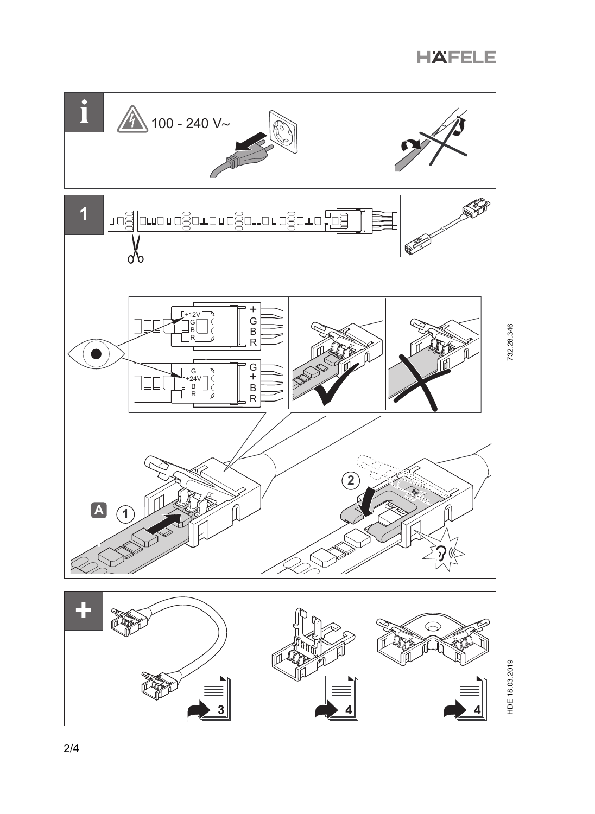

732.28.346

HDE 18.03.2019 732.28.346 HDE 18.03.2019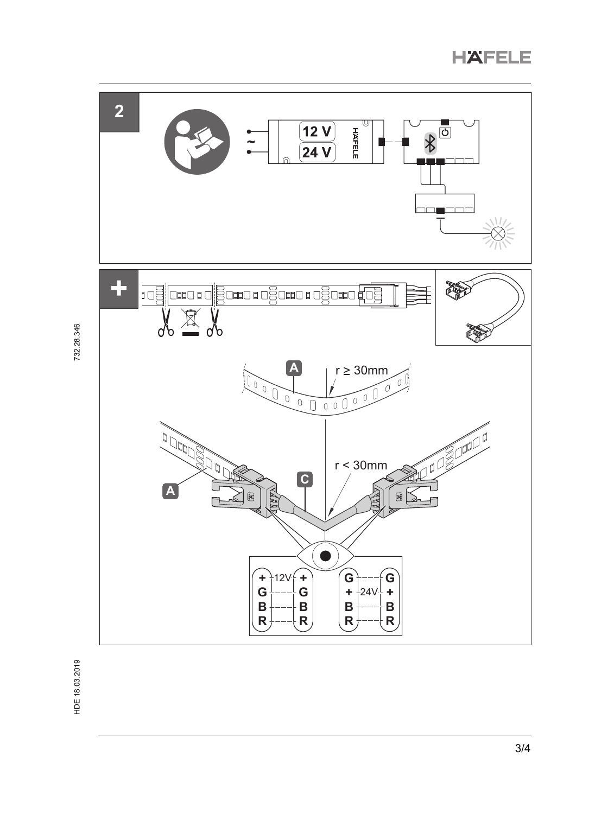



732.28.346

HDE 18.03.2019 732.28.346 HDE 18.03.2019